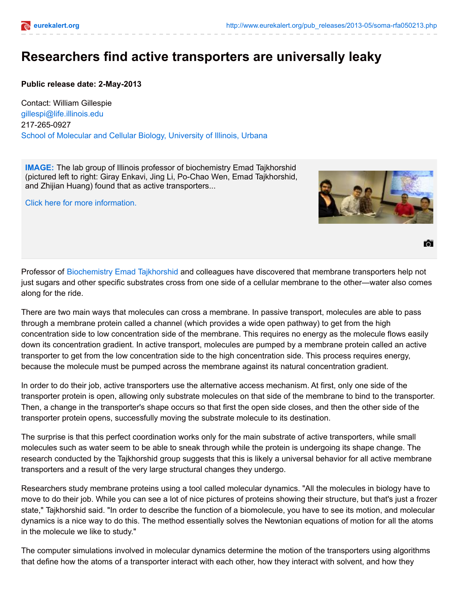## **Researchers find active transporters are universally leaky**

## **Public release date: 2-May-2013**

Contact: William Gillespie [gillespi@life.illinois.edu](mailto:gillespi@life.illinois.edu) 217-265-0927 School of Molecular and Cellular Biology, [University](http://mcb.illinois.edu/) of Illinois, Urbana

**[IMAGE:](http://www.eurekalert.org/multimedia/pub/56098.php?from=238921)** The lab group of Illinois professor of biochemistry Emad Tajkhorshid (pictured left to right: Giray Enkavi, Jing Li, Po-Chao Wen, Emad Tajkhorshid, and Zhijian Huang) found that as active transporters...

Click here for more [information.](http://www.eurekalert.org/multimedia/pub/56098.php?from=238921)



61

Professor of [Biochemistry](http://mcb.illinois.edu/departments/biochemistry/) Emad [Tajkhorshid](http://mcb.illinois.edu/faculty/profile/tajkhors) and colleagues have discovered that membrane transporters help not just sugars and other specific substrates cross from one side of a cellular membrane to the other—water also comes along for the ride.

There are two main ways that molecules can cross a membrane. In passive transport, molecules are able to pass through a membrane protein called a channel (which provides a wide open pathway) to get from the high concentration side to low concentration side of the membrane. This requires no energy as the molecule flows easily down its concentration gradient. In active transport, molecules are pumped by a membrane protein called an active transporter to get from the low concentration side to the high concentration side. This process requires energy, because the molecule must be pumped across the membrane against its natural concentration gradient.

In order to do their job, active transporters use the alternative access mechanism. At first, only one side of the transporter protein is open, allowing only substrate molecules on that side of the membrane to bind to the transporter. Then, a change in the transporter's shape occurs so that first the open side closes, and then the other side of the transporter protein opens, successfully moving the substrate molecule to its destination.

The surprise is that this perfect coordination works only for the main substrate of active transporters, while small molecules such as water seem to be able to sneak through while the protein is undergoing its shape change. The research conducted by the Tajkhorshid group suggests that this is likely a universal behavior for all active membrane transporters and a result of the very large structural changes they undergo.

Researchers study membrane proteins using a tool called molecular dynamics. "All the molecules in biology have to move to do their job. While you can see a lot of nice pictures of proteins showing their structure, but that's just a frozen state," Tajkhorshid said. "In order to describe the function of a biomolecule, you have to see its motion, and molecular dynamics is a nice way to do this. The method essentially solves the Newtonian equations of motion for all the atoms in the molecule we like to study."

The computer simulations involved in molecular dynamics determine the motion of the transporters using algorithms that define how the atoms of a transporter interact with each other, how they interact with solvent, and how they